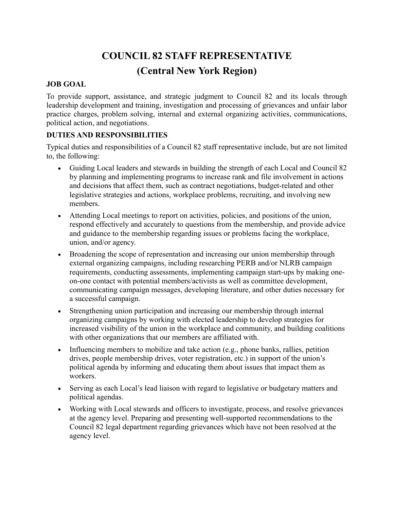# **COUNCIL 82 STAFF REPRESENTATIVE (Central New York Region)**

#### **JOB GOAL**

To provide support, assistance, and strategic judgment to Council 82 and its locals through leadership development and training, investigation and processing of grievances and unfair labor practice charges, problem solving, internal and external organizing activities, communications, political action, and negotiations.

### **DUTIES AND RESPONSIBILITIES**

Typical duties and responsibilities of a Council 82 staff representative include, but are not limited to, the following:

- Guiding Local leaders and stewards in building the strength of each Local and Council 82 by planning and implementing programs to increase rank and file involvement in actions and decisions that affect them, such as contract negotiations, budget-related and other legislative strategies and actions, workplace problems, recruiting, and involving new members.
- Attending Local meetings to report on activities, policies, and positions of the union, respond effectively and accurately to questions from the membership, and provide advice and guidance to the membership regarding issues or problems facing the workplace, union, and/or agency.
- Broadening the scope of representation and increasing our union membership through external organizing campaigns, including researching PERB and/or NLRB campaign requirements, conducting assessments, implementing campaign start-ups by making oneon-one contact with potential members/activists as well as committee development, communicating campaign messages, developing literature, and other duties necessary for a successful campaign.
- Strengthening union participation and increasing our membership through internal organizing campaigns by working with elected leadership to develop strategies for increased visibility of the union in the workplace and community, and building coalitions with other organizations that our members are affiliated with.
- Influencing members to mobilize and take action (e.g., phone banks, rallies, petition drives, people membership drives, voter registration, etc.) in support of the union's political agenda by informing and educating them about issues that impact them as workers.
- Serving as each Local's lead liaison with regard to legislative or budgetary matters and political agendas.
- Working with Local stewards and officers to investigate, process, and resolve grievances at the agency level. Preparing and presenting well-supported recommendations to the Council 82 legal department regarding grievances which have not been resolved at the agency level.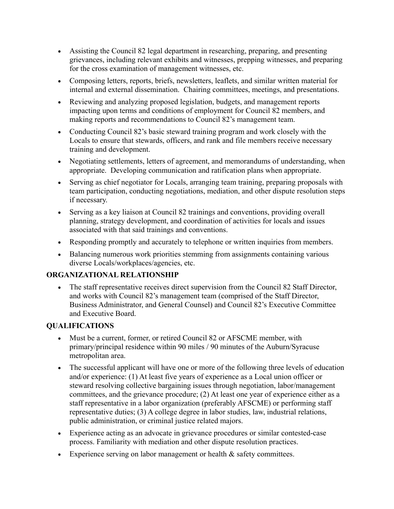- Assisting the Council 82 legal department in researching, preparing, and presenting grievances, including relevant exhibits and witnesses, prepping witnesses, and preparing for the cross examination of management witnesses, etc.
- Composing letters, reports, briefs, newsletters, leaflets, and similar written material for internal and external dissemination. Chairing committees, meetings, and presentations.
- Reviewing and analyzing proposed legislation, budgets, and management reports impacting upon terms and conditions of employment for Council 82 members, and making reports and recommendations to Council 82's management team.
- Conducting Council 82's basic steward training program and work closely with the Locals to ensure that stewards, officers, and rank and file members receive necessary training and development.
- Negotiating settlements, letters of agreement, and memorandums of understanding, when appropriate. Developing communication and ratification plans when appropriate.
- Serving as chief negotiator for Locals, arranging team training, preparing proposals with team participation, conducting negotiations, mediation, and other dispute resolution steps if necessary.
- Serving as a key liaison at Council 82 trainings and conventions, providing overall planning, strategy development, and coordination of activities for locals and issues associated with that said trainings and conventions.
- Responding promptly and accurately to telephone or written inquiries from members.
- Balancing numerous work priorities stemming from assignments containing various diverse Locals/workplaces/agencies, etc.

## **ORGANIZATIONAL RELATIONSHIP**

• The staff representative receives direct supervision from the Council 82 Staff Director, and works with Council 82's management team (comprised of the Staff Director, Business Administrator, and General Counsel) and Council 82's Executive Committee and Executive Board.

## **QUALIFICATIONS**

- Must be a current, former, or retired Council 82 or AFSCME member, with primary/principal residence within 90 miles / 90 minutes of the Auburn/Syracuse metropolitan area.
- The successful applicant will have one or more of the following three levels of education and/or experience: (1) At least five years of experience as a Local union officer or steward resolving collective bargaining issues through negotiation, labor/management committees, and the grievance procedure; (2) At least one year of experience either as a staff representative in a labor organization (preferably AFSCME) or performing staff representative duties; (3) A college degree in labor studies, law, industrial relations, public administration, or criminal justice related majors.
- Experience acting as an advocate in grievance procedures or similar contested-case process. Familiarity with mediation and other dispute resolution practices.
- Experience serving on labor management or health  $\&$  safety committees.